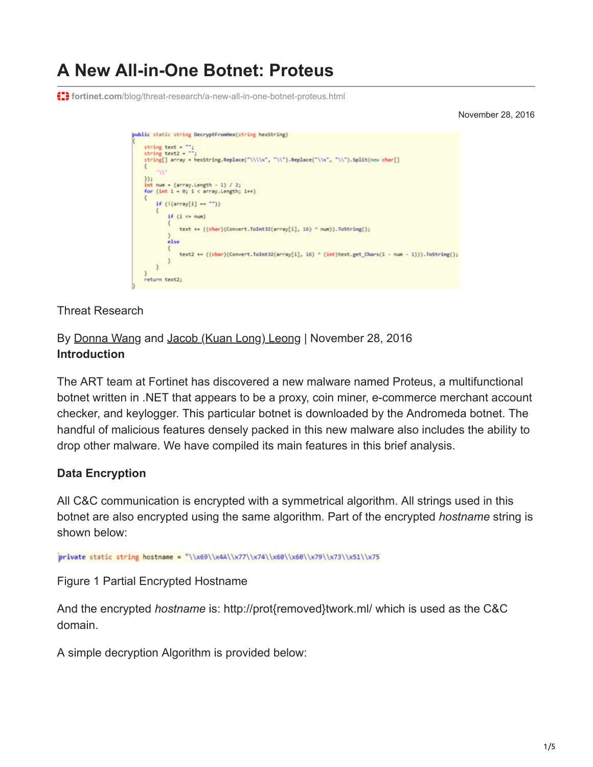# **A New All-in-One Botnet: Proteus**

**f: ifortinet.com**[/blog/threat-research/a-new-all-in-one-botnet-proteus.html](https://www.fortinet.com/blog/threat-research/a-new-all-in-one-botnet-proteus.html)

November 28, 2016

```
public static string DecryptFromHex(string hexString)
    string text - -string text = "";<br>string text2 = "";<br>string[] array = "
    string[] array = hexString.Replace("\\\\x", "\\").Replace("\\x", "\\").Split(new char[]
         111H:int num = (array.length - 1) / 2;for (int i = 0; i < array.length; i++)if (!array[i] -- '')if (i \leftarrow num)text += ((char)(Convert.ToInt32(array[i], 16) ^ num)).ToString();
             else
                 text2 += ((char)(Convert.ToInt32(array[i], 16) ^ (int)text.get_Chars(i - num - 1))).ToString();
        \overline{\phantom{a}1}return text2;
```
Threat Research

By [Donna Wang](https://www.fortinet.com/blog/search?author=Donna+Wang) and [Jacob \(Kuan Long\) Leong](https://www.fortinet.com/blog/search?author=+Jacob+%28Kuan+Long%29+Leong) | November 28, 2016 **Introduction**

The ART team at Fortinet has discovered a new malware named Proteus, a multifunctional botnet written in .NET that appears to be a proxy, coin miner, e-commerce merchant account checker, and keylogger. This particular botnet is downloaded by the Andromeda botnet. The handful of malicious features densely packed in this new malware also includes the ability to drop other malware. We have compiled its main features in this brief analysis.

# **Data Encryption**

All C&C communication is encrypted with a symmetrical algorithm. All strings used in this botnet are also encrypted using the same algorithm. Part of the encrypted *hostname* string is shown below:

private static string hostname = "\\x69\\x4A\\x77\\x74\\x60\\x60\\x79\\x73\\x51\\x75

Figure 1 Partial Encrypted Hostname

And the encrypted *hostname* is: http://prot{removed}twork.ml/ which is used as the C&C domain.

A simple decryption Algorithm is provided below: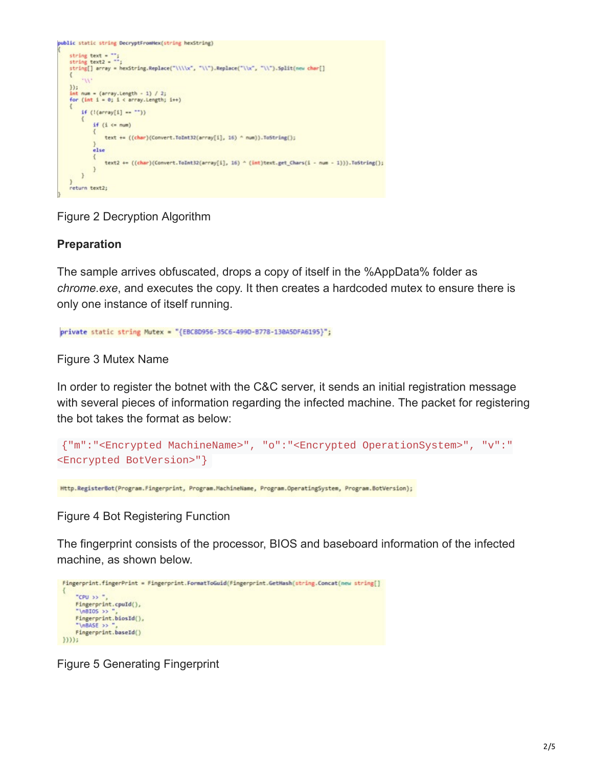

Figure 2 Decryption Algorithm

# **Preparation**

The sample arrives obfuscated, drops a copy of itself in the %AppData% folder as *chrome.exe*, and executes the copy. It then creates a hardcoded mutex to ensure there is only one instance of itself running.

private static string Mutex = "{EBC8D956-35C6-499D-B778-130A5DFA6195}";

Figure 3 Mutex Name

In order to register the botnet with the C&C server, it sends an initial registration message with several pieces of information regarding the infected machine. The packet for registering the bot takes the format as below:

```
{"m":"<Encrypted MachineName>", "o":"<Encrypted OperationSystem>", "v":"
<Encrypted BotVersion>"}
```
Http.RegisterBot(Program.Fingerprint, Program.MachineName, Program.OperatingSystem, Program.BotVersion);

Figure 4 Bot Registering Function

The fingerprint consists of the processor, BIOS and baseboard information of the infected machine, as shown below.

```
Fingerprint.fingerPrint = Fingerprint.FormatToGuid(Fingerprint.GetHash(string.Concat(new string[]
    "CPU >> "
    Fingerprint.cpuId(),
    "\nBIOS >>
    Fingerprint.biosId(),
    "\nBASE >>
    Fingerprint.baseId()
33333
```
Figure 5 Generating Fingerprint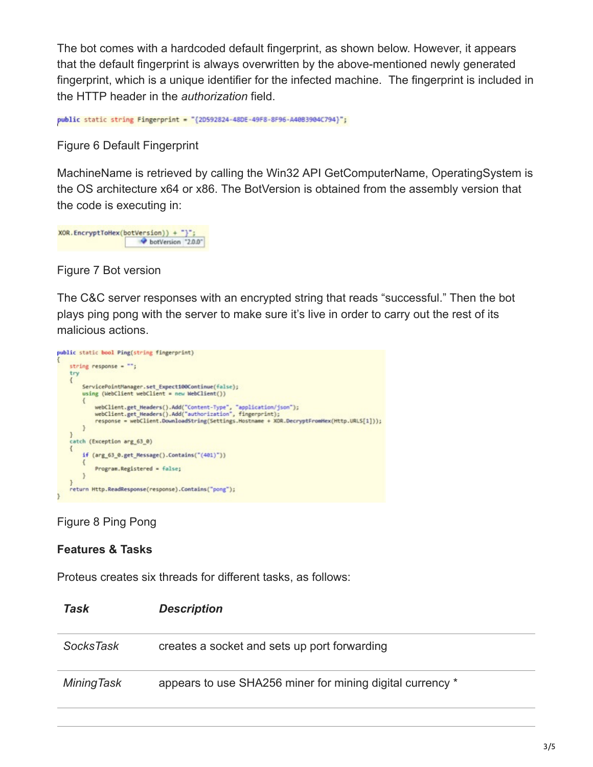The bot comes with a hardcoded default fingerprint, as shown below. However, it appears that the default fingerprint is always overwritten by the above-mentioned newly generated fingerprint, which is a unique identifier for the infected machine. The fingerprint is included in the HTTP header in the *authorization* field.

public static string Fingerprint = "{2D592824-48DE-49F8-8F96-A4083904C794}";

Figure 6 Default Fingerprint

MachineName is retrieved by calling the Win32 API GetComputerName, OperatingSystem is the OS architecture x64 or x86. The BotVersion is obtained from the assembly version that the code is executing in:

XOR.EncryptToHex(botVersion)) + "}"; botVersion "2.0.0"

Figure 7 Bot version

The C&C server responses with an encrypted string that reads "successful." Then the bot plays ping pong with the server to make sure it's live in order to carry out the rest of its malicious actions.



Figure 8 Ping Pong

#### **Features & Tasks**

Proteus creates six threads for different tasks, as follows:

| Task              | <b>Description</b>                                        |
|-------------------|-----------------------------------------------------------|
| <b>SocksTask</b>  | creates a socket and sets up port forwarding              |
| <b>MiningTask</b> | appears to use SHA256 miner for mining digital currency * |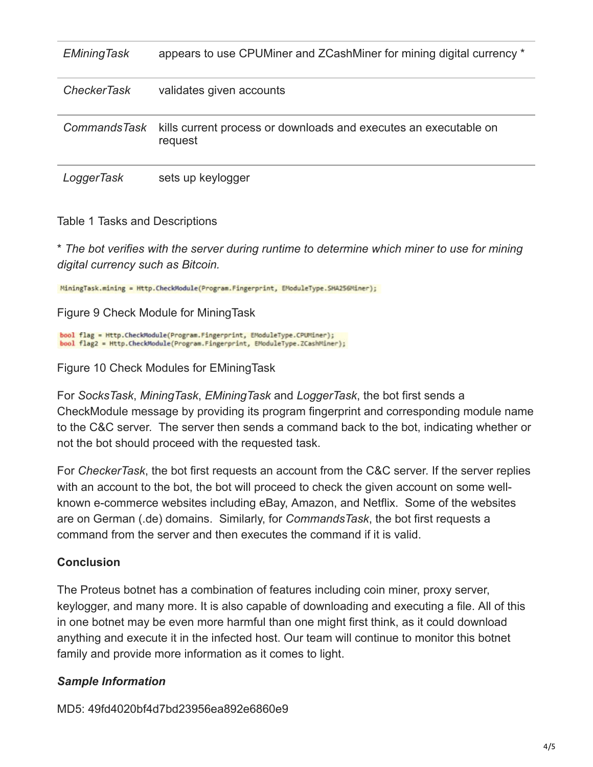| <b>EMiningTask</b>  | appears to use CPUMiner and ZCashMiner for mining digital currency *        |
|---------------------|-----------------------------------------------------------------------------|
| <b>CheckerTask</b>  | validates given accounts                                                    |
| <b>CommandsTask</b> | kills current process or downloads and executes an executable on<br>request |
| LoggerTask          | sets up keylogger                                                           |

Table 1 Tasks and Descriptions

\* *The bot verifies with the server during runtime to determine which miner to use for mining digital currency such as Bitcoin.*

MiningTask.mining = Http.CheckModule(Program.Fingerprint, EModuleType.SHA256Miner);

Figure 9 Check Module for MiningTask

bool flag = Http.CheckModule(Program.Fingerprint, EModuleType.CPUMiner); bool flag2 = Http.CheckModule(Program.Fingerprint, EModuleType.ZCashMiner);

Figure 10 Check Modules for EMiningTask

For *SocksTask*, *MiningTask*, *EMiningTask* and *LoggerTask*, the bot first sends a CheckModule message by providing its program fingerprint and corresponding module name to the C&C server. The server then sends a command back to the bot, indicating whether or not the bot should proceed with the requested task.

For *CheckerTask*, the bot first requests an account from the C&C server. If the server replies with an account to the bot, the bot will proceed to check the given account on some wellknown e-commerce websites including eBay, Amazon, and Netflix. Some of the websites are on German (.de) domains. Similarly, for *CommandsTask*, the bot first requests a command from the server and then executes the command if it is valid.

# **Conclusion**

The Proteus botnet has a combination of features including coin miner, proxy server, keylogger, and many more. It is also capable of downloading and executing a file. All of this in one botnet may be even more harmful than one might first think, as it could download anything and execute it in the infected host. Our team will continue to monitor this botnet family and provide more information as it comes to light.

# *Sample Information*

MD5: 49fd4020bf4d7bd23956ea892e6860e9